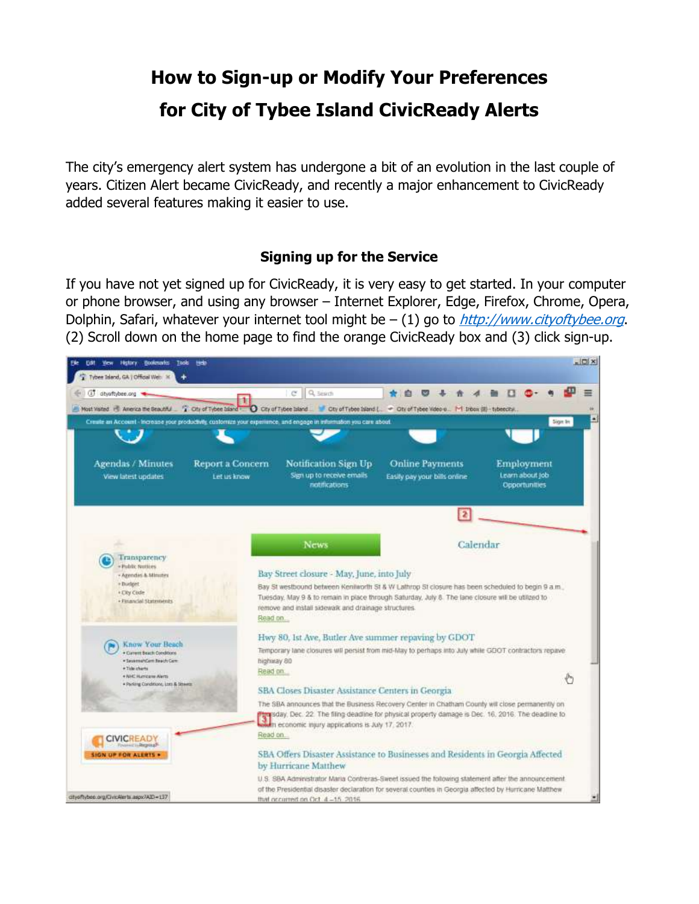# **How to Sign-up or Modify Your Preferences for City of Tybee Island CivicReady Alerts**

The city's emergency alert system has undergone a bit of an evolution in the last couple of years. Citizen Alert became CivicReady, and recently a major enhancement to CivicReady added several features making it easier to use.

#### **Signing up for the Service**

If you have not yet signed up for CivicReady, it is very easy to get started. In your computer or phone browser, and using any browser – Internet Explorer, Edge, Firefox, Chrome, Opera, Dolphin, Safari, whatever your internet tool might be  $- (1)$  go to  $http://www.cityoftybee.org$ . (2) Scroll down on the home page to find the orange CivicReady box and (3) click sign-up.

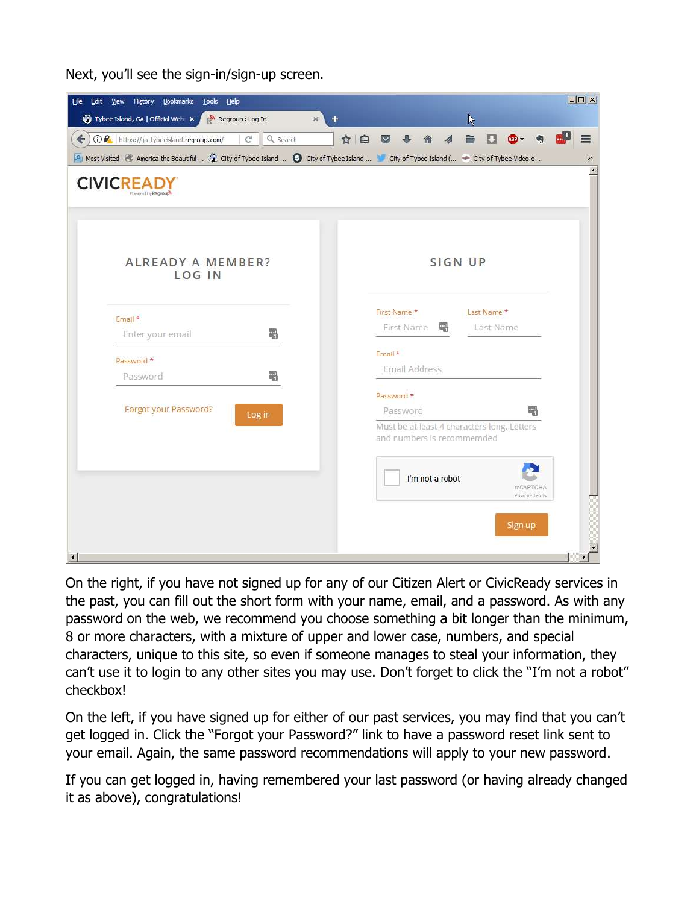Next, you'll see the sign-in/sign-up screen.

| View History Bookmarks Tools Help<br>Edit<br>File                                                                                           | $ \Box$ $\times$                                                          |
|---------------------------------------------------------------------------------------------------------------------------------------------|---------------------------------------------------------------------------|
| Tybee Island, GA   Official Web X   N Regroup : Log In                                                                                      | $\times$<br>K                                                             |
| 1 https://ga-tybeeisland.regroup.com/<br>$\mathcal{C}^{\prime}$<br>$\leftarrow$<br>Q Search                                                 | ☆自<br>≡<br>$\vee$                                                         |
| PI Most Visited @ America the Beautiful  ( City of Tybee Island - @ City of Tybee Island  @ City of Tybee Island (  @ City of Tybee Video-o | »                                                                         |
| <b>CIVICREAD</b><br>Powered biv Rearoup                                                                                                     |                                                                           |
| ALREADY A MEMBER?<br>LOG IN                                                                                                                 | SIGN UP                                                                   |
|                                                                                                                                             | First Name *<br>Last Name *                                               |
| Email *<br>冊<br>Enter your email                                                                                                            | Last Name<br>First Name<br>职                                              |
|                                                                                                                                             | Email *                                                                   |
| Password *<br>Password<br>职                                                                                                                 | Email Address                                                             |
|                                                                                                                                             | Password *                                                                |
| Forgot your Password?<br>Log in                                                                                                             | Password<br>吧                                                             |
|                                                                                                                                             | Must be at least 4 characters long. Letters<br>and numbers is recommemded |
|                                                                                                                                             | I'm not a robot<br>reCAPTOHA<br>Privacy - Terms                           |
| $\left  \cdot \right $                                                                                                                      | Sign up                                                                   |

On the right, if you have not signed up for any of our Citizen Alert or CivicReady services in the past, you can fill out the short form with your name, email, and a password. As with any password on the web, we recommend you choose something a bit longer than the minimum, 8 or more characters, with a mixture of upper and lower case, numbers, and special characters, unique to this site, so even if someone manages to steal your information, they can't use it to login to any other sites you may use. Don't forget to click the "I'm not a robot" checkbox!

On the left, if you have signed up for either of our past services, you may find that you can't get logged in. Click the "Forgot your Password?" link to have a password reset link sent to your email. Again, the same password recommendations will apply to your new password.

If you can get logged in, having remembered your last password (or having already changed it as above), congratulations!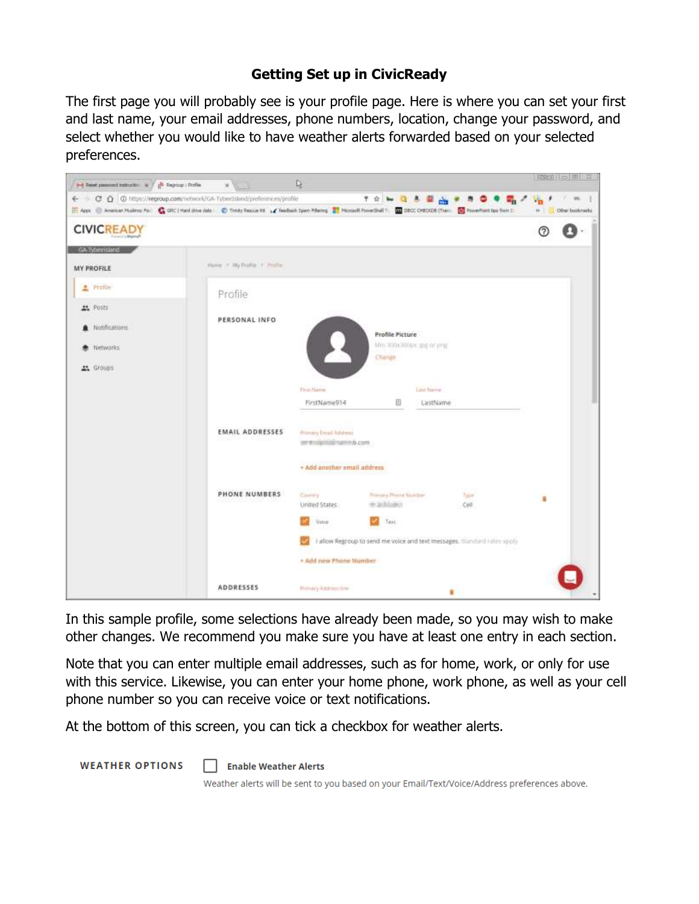## **Getting Set up in CivicReady**

The first page you will probably see is your profile page. Here is where you can set your first and last name, your email addresses, phone numbers, location, change your password, and select whether you would like to have weather alerts forwarded based on your selected preferences.



In this sample profile, some selections have already been made, so you may wish to make other changes. We recommend you make sure you have at least one entry in each section.

Note that you can enter multiple email addresses, such as for home, work, or only for use with this service. Likewise, you can enter your home phone, work phone, as well as your cell phone number so you can receive voice or text notifications.

At the bottom of this screen, you can tick a checkbox for weather alerts.

**WEATHER OPTIONS** 

Enable Weather Alerts

Weather alerts will be sent to you based on your Email/Text/Voice/Address preferences above.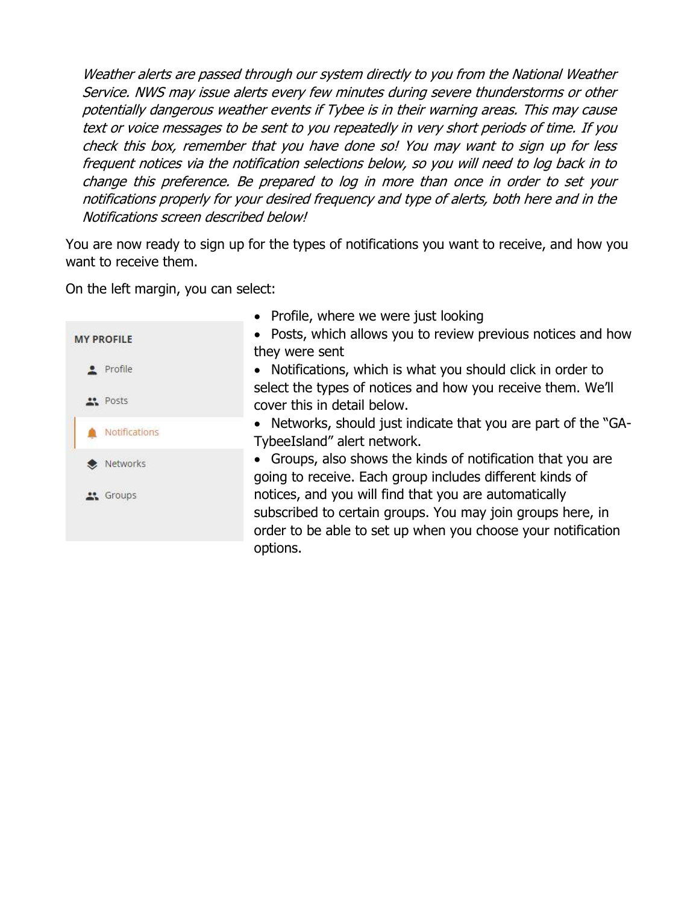Weather alerts are passed through our system directly to you from the National Weather Service. NWS may issue alerts every few minutes during severe thunderstorms or other potentially dangerous weather events if Tybee is in their warning areas. This may cause text or voice messages to be sent to you repeatedly in very short periods of time. If you check this box, remember that you have done so! You may want to sign up for less frequent notices via the notification selections below, so you will need to log back in to change this preference. Be prepared to log in more than once in order to set your notifications properly for your desired frequency and type of alerts, both here and in the Notifications screen described below!

You are now ready to sign up for the types of notifications you want to receive, and how you want to receive them.

On the left margin, you can select:

|                      | • Profile, where we were just looking                                                                                                                                               |
|----------------------|-------------------------------------------------------------------------------------------------------------------------------------------------------------------------------------|
| <b>MY PROFILE</b>    | • Posts, which allows you to review previous notices and how<br>they were sent                                                                                                      |
| · Profile            | • Notifications, which is what you should click in order to                                                                                                                         |
| <b>Posts</b>         | select the types of notices and how you receive them. We'll<br>cover this in detail below.                                                                                          |
| <b>Notifications</b> | • Networks, should just indicate that you are part of the "GA-<br>TybeeIsland" alert network.                                                                                       |
| Networks             | • Groups, also shows the kinds of notification that you are<br>going to receive. Each group includes different kinds of                                                             |
| " Groups             | notices, and you will find that you are automatically<br>subscribed to certain groups. You may join groups here, in<br>order to be able to set up when you choose your notification |
|                      | options.                                                                                                                                                                            |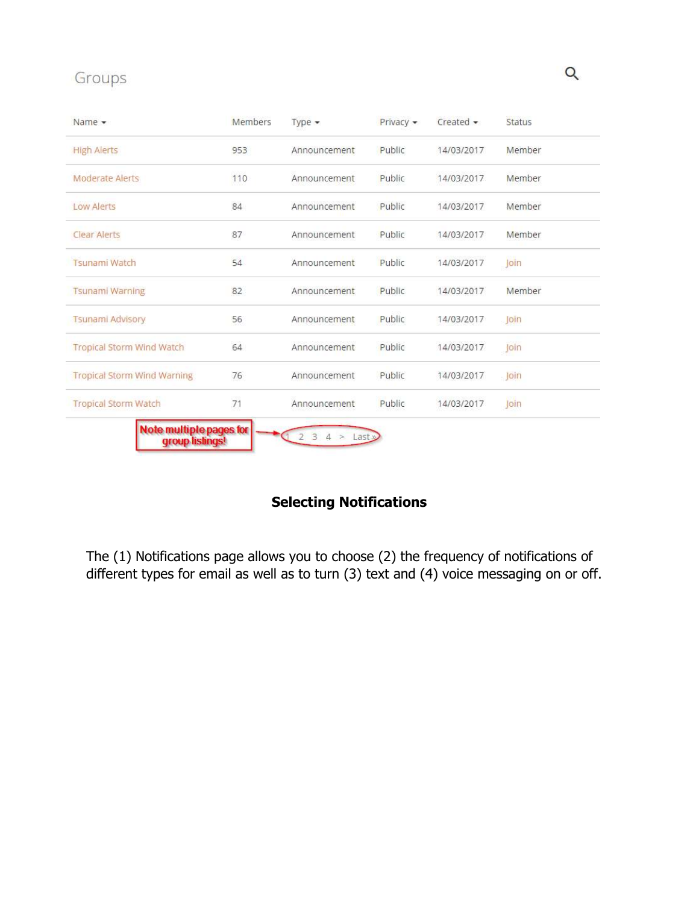## Groups

| Name $\star$                       | Members | Type $\star$ | Privacy - | Create     | Status |
|------------------------------------|---------|--------------|-----------|------------|--------|
| <b>High Alerts</b>                 | 953     | Announcement | Public    | 14/03/2017 | Member |
| <b>Moderate Alerts</b>             | 110     | Announcement | Public    | 14/03/2017 | Member |
| Low Alerts                         | 84      | Announcement | Public    | 14/03/2017 | Member |
| Clear Alerts                       | 87      | Announcement | Public    | 14/03/2017 | Member |
| <b>Tsunami Watch</b>               | 54      | Announcement | Public    | 14/03/2017 | Join   |
| <b>Tsunami Warning</b>             | 82      | Announcement | Public    | 14/03/2017 | Member |
| <b>Tsunami Advisory</b>            | 56      | Announcement | Public    | 14/03/2017 | loin   |
| Tropical Storm Wind Watch          | 64      | Announcement | Public    | 14/03/2017 | Join   |
| <b>Tropical Storm Wind Warning</b> | 76      | Announcement | Public    | 14/03/2017 | loin   |
| <b>Tropical Storm Watch</b>        | 71      | Announcement | Public    | 14/03/2017 | Join   |

## **Selecting Notifications**

The (1) Notifications page allows you to choose (2) the frequency of notifications of different types for email as well as to turn (3) text and (4) voice messaging on or off.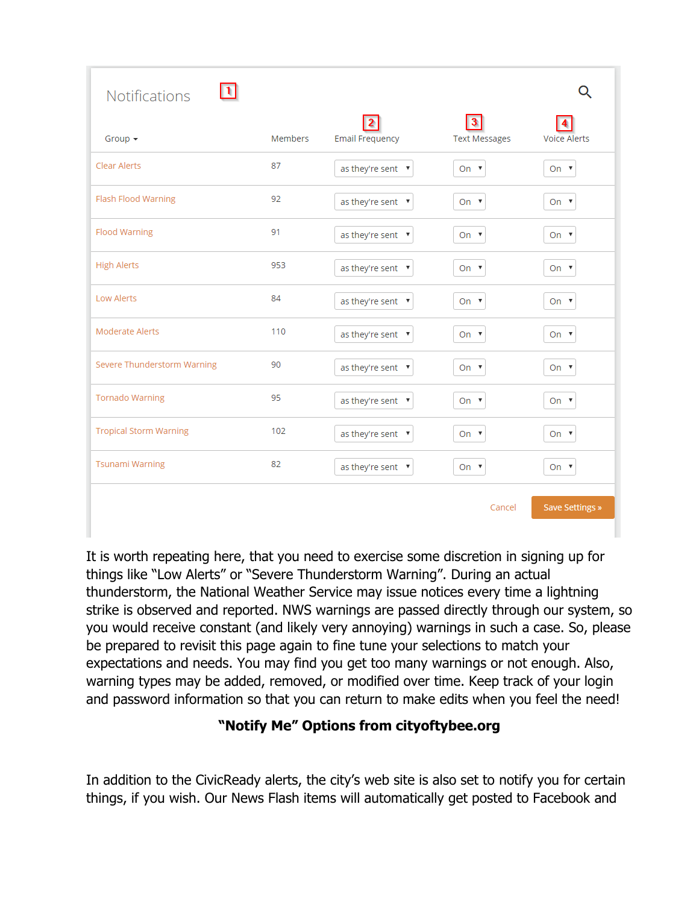| <b>Notifications</b>          |         |                        |                      |                     |
|-------------------------------|---------|------------------------|----------------------|---------------------|
| Group $\star$                 | Members | <b>Email Frequency</b> | <b>Text Messages</b> | <b>Voice Alerts</b> |
| Clear Alerts                  | 87      | as they're sent ▼      | On $\Psi$            | On $\Psi$           |
| Flash Flood Warning           | 92      | as they're sent ▼      | On $\Psi$            | On $\Psi$           |
| <b>Flood Warning</b>          | 91      | as they're sent ▼      | On $\Psi$            | On $\Psi$           |
| <b>High Alerts</b>            | 953     | as they're sent ▼      | On $\Psi$            | On $\Psi$           |
| <b>Low Alerts</b>             | 84      | as they're sent ▼      | On $\Psi$            | On $\Psi$           |
| <b>Moderate Alerts</b>        | 110     | as they're sent ▼      | On $\Psi$            | On $\Psi$           |
| Severe Thunderstorm Warning   | 90      | as they're sent ▼      | On $\Psi$            | On $\Psi$           |
| <b>Tornado Warning</b>        | 95      | as they're sent ▼      | On $\Psi$            | On $\Psi$           |
| <b>Tropical Storm Warning</b> | 102     | as they're sent ▼      | On $\Psi$            | On $\Psi$           |
| <b>Tsunami Warning</b>        | 82      | as they're sent ▼      | On ▼                 | On $\Psi$           |
|                               |         |                        | Cancel               | Save Settings »     |

It is worth repeating here, that you need to exercise some discretion in signing up for things like "Low Alerts" or "Severe Thunderstorm Warning". During an actual thunderstorm, the National Weather Service may issue notices every time a lightning strike is observed and reported. NWS warnings are passed directly through our system, so you would receive constant (and likely very annoying) warnings in such a case. So, please be prepared to revisit this page again to fine tune your selections to match your expectations and needs. You may find you get too many warnings or not enough. Also, warning types may be added, removed, or modified over time. Keep track of your login and password information so that you can return to make edits when you feel the need!

## **"Notify Me" Options from cityoftybee.org**

In addition to the CivicReady alerts, the city's web site is also set to notify you for certain things, if you wish. Our News Flash items will automatically get posted to Facebook and